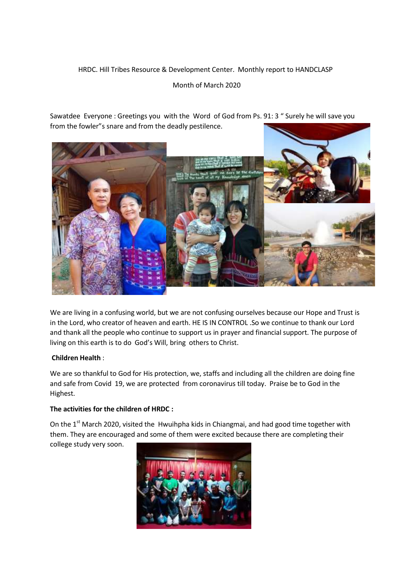# HRDC. Hill Tribes Resource & Development Center. Monthly report to HANDCLASP

# Month of March 2020

Sawatdee Everyone : Greetings you with the Word of God from Ps. 91: 3 " Surely he will save you from the fowler"s snare and from the deadly pestilence.



We are living in a confusing world, but we are not confusing ourselves because our Hope and Trust is in the Lord, who creator of heaven and earth. HE IS IN CONTROL .So we continue to thank our Lord and thank all the people who continue to support us in prayer and financial support. The purpose of living on this earth is to do God's Will, bring others to Christ.

# **Children Health** :

We are so thankful to God for His protection, we, staffs and including all the children are doing fine and safe from Covid 19, we are protected from coronavirus till today. Praise be to God in the Highest.

# **The activities for the children of HRDC :**

On the 1<sup>st</sup> March 2020, visited the Hwuihpha kids in Chiangmai, and had good time together with them. They are encouraged and some of them were excited because there are completing their

college study very soon.

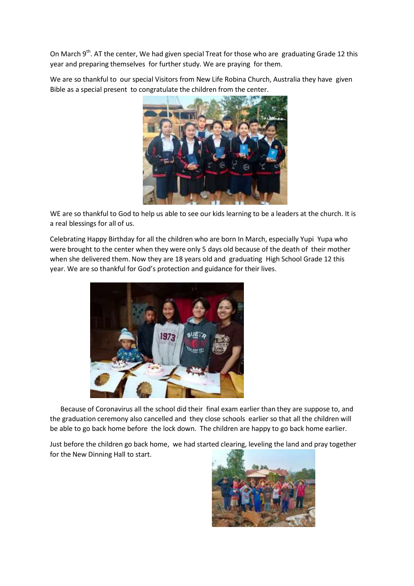On March 9<sup>th</sup>. AT the center, We had given special Treat for those who are graduating Grade 12 this year and preparing themselves for further study. We are praying for them.

We are so thankful to our special Visitors from New Life Robina Church, Australia they have given Bible as a special present to congratulate the children from the center.



WE are so thankful to God to help us able to see our kids learning to be a leaders at the church. It is a real blessings for all of us.

Celebrating Happy Birthday for all the children who are born In March, especially Yupi Yupa who were brought to the center when they were only 5 days old because of the death of their mother when she delivered them. Now they are 18 years old and graduating High School Grade 12 this year. We are so thankful for God's protection and guidance for their lives.



Because of Coronavirus all the school did their final exam earlier than they are suppose to, and the graduation ceremony also cancelled and they close schools earlier so that all the children will be able to go back home before the lock down. The children are happy to go back home earlier.

Just before the children go back home, we had started clearing, leveling the land and pray together for the New Dinning Hall to start.

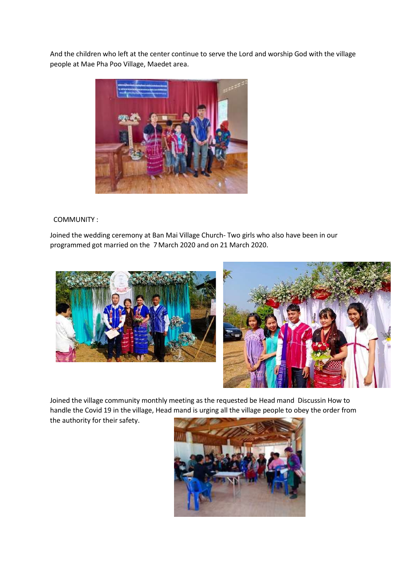And the children who left at the center continue to serve the Lord and worship God with the village people at Mae Pha Poo Village, Maedet area.



#### COMMUNITY :

Joined the wedding ceremony at Ban Mai Village Church- Two girls who also have been in our programmed got married on the 7March 2020 and on 21 March 2020.





Joined the village community monthly meeting as the requested be Head mand Discussin How to handle the Covid 19 in the village, Head mand is urging all the village people to obey the order from the authority for their safety.

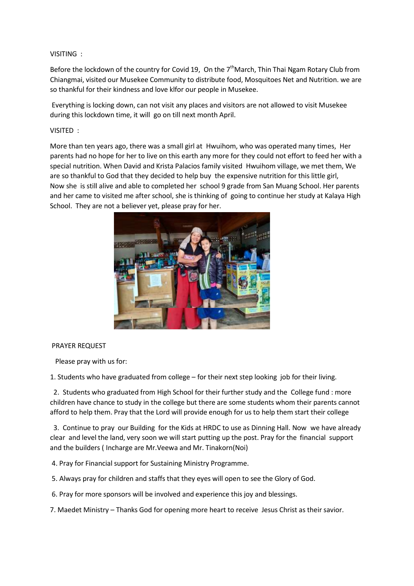#### VISITING :

Before the lockdown of the country for Covid 19, On the  $7<sup>th</sup>$ March, Thin Thai Ngam Rotary Club from Chiangmai, visited our Musekee Community to distribute food, Mosquitoes Net and Nutrition. we are so thankful for their kindness and love klfor our people in Musekee.

Everything is locking down, can not visit any places and visitors are not allowed to visit Musekee during this lockdown time, it will go on till next month April.

VISITED :

More than ten years ago, there was a small girl at Hwuihom, who was operated many times, Her parents had no hope for her to live on this earth any more for they could not effort to feed her with a special nutrition. When David and Krista Palacios family visited Hwuihom village, we met them, We are so thankful to God that they decided to help buy the expensive nutrition for this little girl, Now she is still alive and able to completed her school 9 grade from San Muang School. Her parents and her came to visited me after school, she is thinking of going to continue her study at Kalaya High School. They are not a believer yet, please pray for her.



#### PRAYER REQUEST

Please pray with us for:

1. Students who have graduated from college – for their next step looking job for their living.

2. Students who graduated from High School for their further study and the College fund : more children have chance to study in the college but there are some students whom their parents cannot afford to help them. Pray that the Lord will provide enough for us to help them start their college

3. Continue to pray our Building for the Kids at HRDC to use as Dinning Hall. Now we have already clear and level the land, very soon we will start putting up the post. Pray for the financial support and the builders ( Incharge are Mr.Veewa and Mr. Tinakorn(Noi)

4. Pray for Financial support for Sustaining Ministry Programme.

5. Always pray for children and staffs that they eyes will open to see the Glory of God.

6. Pray for more sponsors will be involved and experience this joy and blessings.

7. Maedet Ministry – Thanks God for opening more heart to receive Jesus Christ as their savior.